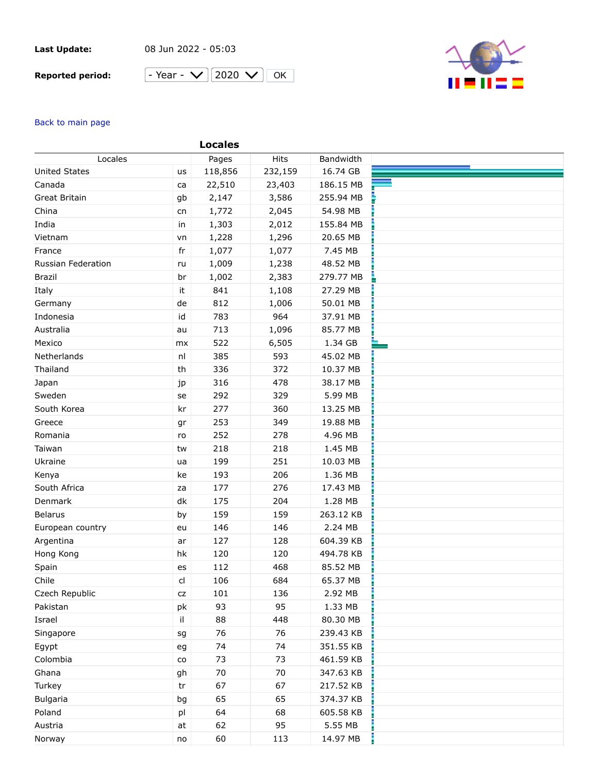## **Last Update:**

08 Jun 2022 - 05:03

## **Reported period:**





## Back to main page

| Locales              |            | Pages   | Hits    | Bandwidth |  |
|----------------------|------------|---------|---------|-----------|--|
| <b>United States</b> | us         | 118,856 | 232,159 | 16.74 GB  |  |
| Canada               | ca         | 22,510  | 23,403  | 186.15 MB |  |
| Great Britain        | gb         | 2,147   | 3,586   | 255.94 MB |  |
| China                | cn         | 1,772   | 2,045   | 54.98 MB  |  |
| India                | in         | 1,303   | 2,012   | 155.84 MB |  |
| Vietnam              | vn         | 1,228   | 1,296   | 20.65 MB  |  |
| France               | fr         | 1,077   | 1,077   | 7.45 MB   |  |
| Russian Federation   | ru         | 1,009   | 1,238   | 48.52 MB  |  |
| <b>Brazil</b>        | br         | 1,002   | 2,383   | 279.77 MB |  |
| Italy                | it         | 841     | 1,108   | 27.29 MB  |  |
| Germany              | de         | 812     | 1,006   | 50.01 MB  |  |
| Indonesia            | id         | 783     | 964     | 37.91 MB  |  |
| Australia            | au         | 713     | 1,096   | 85.77 MB  |  |
| Mexico               | mx         | 522     | 6,505   | 1.34 GB   |  |
| Netherlands          | nl         | 385     | 593     | 45.02 MB  |  |
| Thailand             | th         | 336     | 372     | 10.37 MB  |  |
| Japan                | jp         | 316     | 478     | 38.17 MB  |  |
| Sweden               | se         | 292     | 329     | 5.99 MB   |  |
| South Korea          | kr         | 277     | 360     | 13.25 MB  |  |
| Greece               | gr         | 253     | 349     | 19.88 MB  |  |
| Romania              | ro         | 252     | 278     | 4.96 MB   |  |
| Taiwan               | tw         | 218     | 218     | 1.45 MB   |  |
| Ukraine              | ua         | 199     | 251     | 10.03 MB  |  |
| Kenya                | ke         | 193     | 206     | 1.36 MB   |  |
| South Africa         | za         | 177     | 276     | 17.43 MB  |  |
| Denmark              | dk         | 175     | 204     | 1.28 MB   |  |
| <b>Belarus</b>       | by         | 159     | 159     | 263.12 KB |  |
| European country     | eu         | 146     | 146     | 2.24 MB   |  |
| Argentina            | ar         | 127     | 128     | 604.39 KB |  |
| Hong Kong            | hk         | 120     | 120     | 494.78 KB |  |
| Spain                | es         | 112     | 468     | 85.52 MB  |  |
| Chile                | cl         | 106     | 684     | 65.37 MB  |  |
| Czech Republic       | ${\sf cz}$ | 101     | 136     | 2.92 MB   |  |
| Pakistan             | pk         | 93      | 95      | 1.33 MB   |  |
| Israel               | il.        | 88      | 448     | 80.30 MB  |  |
| Singapore            | sg         | 76      | 76      | 239.43 KB |  |
| Egypt                | eg         | 74      | 74      | 351.55 KB |  |
| Colombia             | ${\rm CO}$ | 73      | 73      | 461.59 KB |  |
| Ghana                | gh         | 70      | 70      | 347.63 KB |  |
| Turkey               | tr         | 67      | 67      | 217.52 KB |  |
| <b>Bulgaria</b>      | bg         | 65      | 65      | 374.37 KB |  |
| Poland               | pl         | 64      | 68      | 605.58 KB |  |
| Austria              | at         | 62      | 95      | 5.55 MB   |  |
| Norway               | no         | 60      | 113     | 14.97 MB  |  |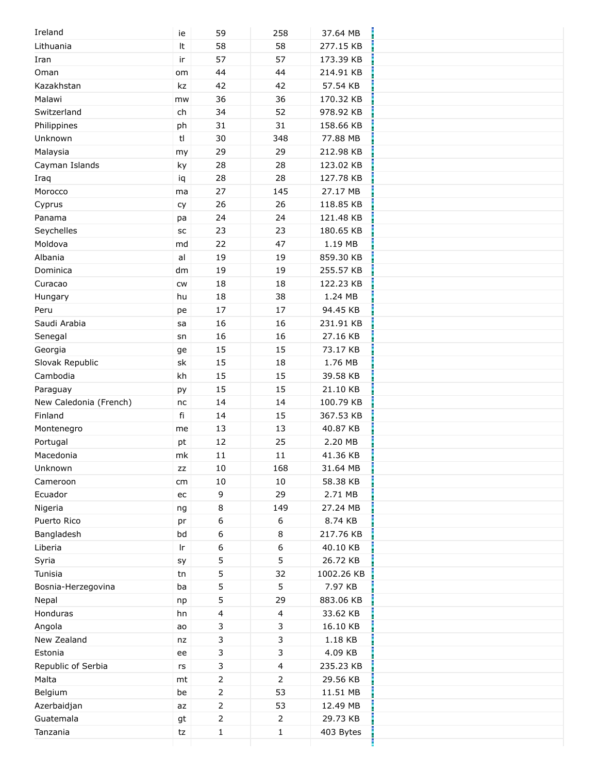| Ireland                | ie         | 59             | 258            | 37.64 MB   |  |
|------------------------|------------|----------------|----------------|------------|--|
| Lithuania              | It         | 58             | 58             | 277.15 KB  |  |
| Iran                   | ir         | 57             | 57             | 173.39 KB  |  |
| Oman                   | om         | 44             | 44             | 214.91 KB  |  |
| Kazakhstan             | kz         | 42             | 42             | 57.54 KB   |  |
| Malawi                 | mw         | 36             | 36             | 170.32 KB  |  |
| Switzerland            | ${\sf ch}$ | 34             | 52             | 978.92 KB  |  |
| Philippines            | ph         | 31             | 31             | 158.66 KB  |  |
| Unknown                | t          | 30             | 348            | 77.88 MB   |  |
| Malaysia               | my         | 29             | 29             | 212.98 KB  |  |
| Cayman Islands         | ky         | 28             | 28             | 123.02 KB  |  |
| Iraq                   | iq         | 28             | 28             | 127.78 KB  |  |
| Morocco                | ma         | 27             | 145            | 27.17 MB   |  |
| Cyprus                 | cy         | 26             | 26             | 118.85 KB  |  |
| Panama                 | pa         | 24             | 24             | 121.48 KB  |  |
| Seychelles             | SC         | 23             | 23             | 180.65 KB  |  |
| Moldova                | md         | 22             | 47             | 1.19 MB    |  |
| Albania                | al         | 19             | 19             | 859.30 KB  |  |
| Dominica               | dm         | 19             | 19             | 255.57 KB  |  |
| Curacao                | <b>CW</b>  | 18             | 18             | 122.23 KB  |  |
|                        | hu         | 18             | 38             | 1.24 MB    |  |
| Hungary<br>Peru        |            | 17             | 17             | 94.45 KB   |  |
| Saudi Arabia           | pe         | 16             | 16             | 231.91 KB  |  |
|                        | sa         | 16             | 16             | 27.16 KB   |  |
| Senegal                | sn         |                |                | 73.17 KB   |  |
| Georgia                | ge         | 15             | 15             |            |  |
| Slovak Republic        | sk         | 15             | 18             | 1.76 MB    |  |
| Cambodia               | kh         | 15             | 15             | 39.58 KB   |  |
| Paraguay               | ру         | 15             | 15             | 21.10 KB   |  |
| New Caledonia (French) | nc         | 14             | 14             | 100.79 KB  |  |
| Finland                | fi         | 14             | 15             | 367.53 KB  |  |
| Montenegro             | me         | 13             | 13             | 40.87 KB   |  |
| Portugal               | pt         | 12             | 25             | 2.20 MB    |  |
| Macedonia              | mk         | 11             | $11\,$         | 41.36 KB   |  |
| Unknown                | ZZ         | 10             | 168            | 31.64 MB   |  |
| Cameroon               | cm         | $10\,$         | 10             | 58.38 KB   |  |
| Ecuador                | ec         | 9              | 29             | 2.71 MB    |  |
| Nigeria                | ng         | 8              | 149            | 27.24 MB   |  |
| Puerto Rico            | pr         | 6              | 6              | 8.74 KB    |  |
| Bangladesh             | bd         | 6              | 8              | 217.76 KB  |  |
| Liberia                | Ir.        | 6              | 6              | 40.10 KB   |  |
| Syria                  | sy         | 5              | 5              | 26.72 KB   |  |
| Tunisia                | tn         | 5              | 32             | 1002.26 KB |  |
| Bosnia-Herzegovina     | ba         | 5              | 5              | 7.97 KB    |  |
| Nepal                  | np         | 5              | 29             | 883.06 KB  |  |
| Honduras               | hn         | 4              | $\overline{4}$ | 33.62 KB   |  |
| Angola                 | ao         | 3              | 3              | 16.10 KB   |  |
| New Zealand            | nz         | 3              | 3              | 1.18 KB    |  |
| Estonia                | ee         | 3              | 3              | 4.09 KB    |  |
| Republic of Serbia     | rs         | 3              | 4              | 235.23 KB  |  |
| Malta                  | mt         | $\overline{2}$ | 2              | 29.56 KB   |  |
| Belgium                | be         | 2              | 53             | 11.51 MB   |  |
| Azerbaidjan            | az         | $\overline{2}$ | 53             | 12.49 MB   |  |
| Guatemala              | gt         | $\overline{2}$ | $\overline{2}$ | 29.73 KB   |  |
| Tanzania               | tz         | $\mathbf 1$    | $\mathbf{1}$   | 403 Bytes  |  |